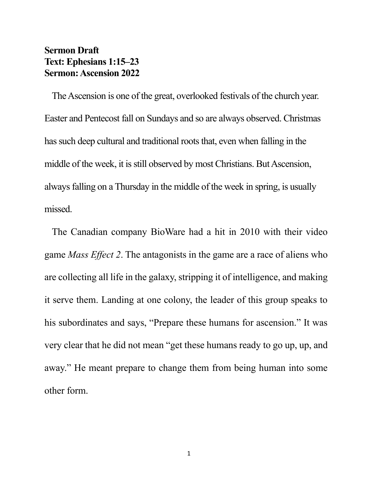## **Sermon Draft Text: Ephesians 1:15–23 Sermon: Ascension 2022**

The Ascension is one of the great, overlooked festivals of the church year. Easter and Pentecost fall on Sundays and so are always observed. Christmas has such deep cultural and traditional roots that, even when falling in the middle of the week, it is still observed by most Christians. But Ascension, always falling on a Thursday in the middle of the week in spring, is usually missed.

The Canadian company BioWare had a hit in 2010 with their video game *Mass Effect 2*. The antagonists in the game are a race of aliens who are collecting all life in the galaxy, stripping it of intelligence, and making it serve them. Landing at one colony, the leader of this group speaks to his subordinates and says, "Prepare these humans for ascension." It was very clear that he did not mean "get these humans ready to go up, up, and away." He meant prepare to change them from being human into some other form.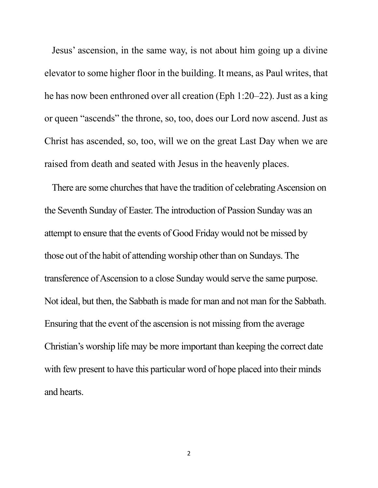Jesus' ascension, in the same way, is not about him going up a divine elevator to some higher floor in the building. It means, as Paul writes, that he has now been enthroned over all creation (Eph 1:20–22). Just as a king or queen "ascends" the throne, so, too, does our Lord now ascend. Just as Christ has ascended, so, too, will we on the great Last Day when we are raised from death and seated with Jesus in the heavenly places.

There are some churches that have the tradition of celebrating Ascension on the Seventh Sunday of Easter. The introduction of Passion Sunday was an attempt to ensure that the events of Good Friday would not be missed by those out of the habit of attending worship other than on Sundays. The transference of Ascension to a close Sunday would serve the same purpose. Not ideal, but then, the Sabbath is made for man and not man for the Sabbath. Ensuring that the event of the ascension is not missing from the average Christian's worship life may be more important than keeping the correct date with few present to have this particular word of hope placed into their minds and hearts.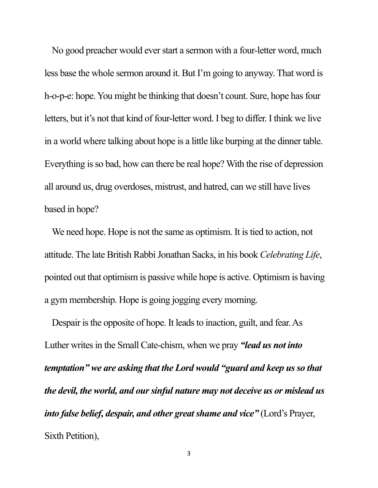No good preacher would ever start a sermon with a four-letter word, much less base the whole sermon around it. But I'm going to anyway. That word is h-o-p-e: hope. You might be thinking that doesn't count. Sure, hope has four letters, but it's not that kind of four-letter word. I beg to differ. I think we live in a world where talking about hope is a little like burping at the dinner table. Everything is so bad, how can there be real hope? With the rise of depression all around us, drug overdoses, mistrust, and hatred, can we still have lives based in hope?

We need hope. Hope is not the same as optimism. It is tied to action, not attitude. The late British Rabbi Jonathan Sacks, in his book *Celebrating Life*, pointed out that optimism is passive while hope is active. Optimism is having a gym membership. Hope is going jogging every morning.

Despair is the opposite of hope. It leads to inaction, guilt, and fear. As Luther writes in the Small Cate-chism, when we pray *"lead us not into temptation" we are asking that the Lord would "guard and keep us so that the devil, the world, and our sinful nature may not deceive us or mislead us into false belief, despair, and other great shame and vice*" (Lord's Prayer, Sixth Petition),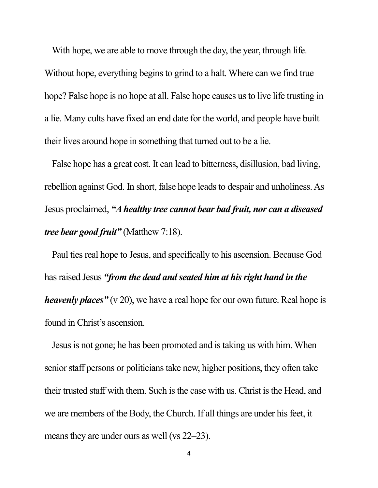With hope, we are able to move through the day, the year, through life. Without hope, everything begins to grind to a halt. Where can we find true hope? False hope is no hope at all. False hope causes us to live life trusting in a lie. Many cults have fixed an end date for the world, and people have built their lives around hope in something that turned out to be a lie.

False hope has a great cost. It can lead to bitterness, disillusion, bad living, rebellion against God. In short, false hope leads to despair and unholiness. As Jesus proclaimed, *"A healthy tree cannot bear bad fruit, nor can a diseased tree bear good fruit"* (Matthew 7:18).

Paul ties real hope to Jesus, and specifically to his ascension. Because God has raised Jesus *"from the dead and seated him at his right hand in the heavenly places*" (v 20), we have a real hope for our own future. Real hope is found in Christ's ascension.

Jesus is not gone; he has been promoted and is taking us with him. When senior staff persons or politicians take new, higher positions, they often take their trusted staff with them. Such is the case with us. Christ is the Head, and we are members of the Body, the Church. If all things are under his feet, it means they are under ours as well (vs 22–23).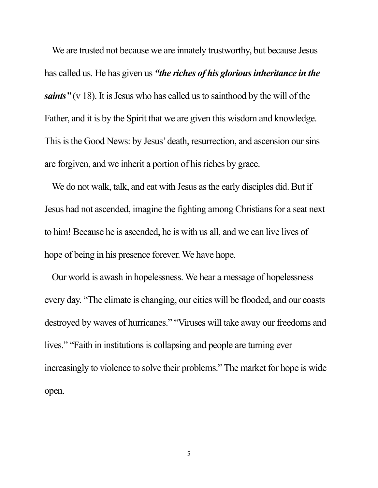We are trusted not because we are innately trustworthy, but because Jesus has called us. He has given us *"the riches of his glorious inheritance in the saints*" (v 18). It is Jesus who has called us to sainthood by the will of the Father, and it is by the Spirit that we are given this wisdom and knowledge. This is the Good News: by Jesus' death, resurrection, and ascension our sins are forgiven, and we inherit a portion of his riches by grace.

We do not walk, talk, and eat with Jesus as the early disciples did. But if Jesus had not ascended, imagine the fighting among Christians for a seat next to him! Because he is ascended, he is with us all, and we can live lives of hope of being in his presence forever. We have hope.

Our world is awash in hopelessness. We hear a message of hopelessness every day. "The climate is changing, our cities will be flooded, and our coasts destroyed by waves of hurricanes." "Viruses will take away our freedoms and lives." "Faith in institutions is collapsing and people are turning ever increasingly to violence to solve their problems." The market for hope is wide open.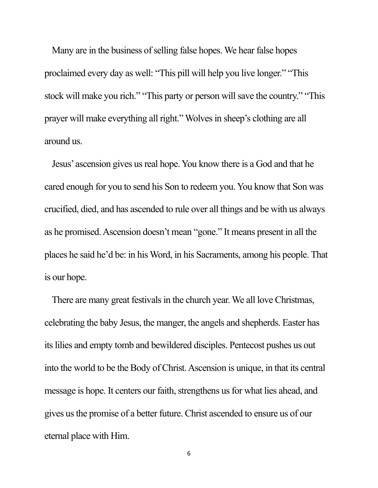Many are in the business of selling false hopes. We hear false hopes proclaimed every day as well: "This pill will help you live longer." "This stock will make you rich." "This party or person will save the country." "This prayer will make everything all right." Wolves in sheep's clothing are all around us.

Jesus'ascension gives us real hope. You know there is a God and that he cared enough for you to send his Son to redeem you. You know that Son was crucified, died, and has ascended to rule over all things and be with us always as he promised. Ascension doesn't mean "gone." It means present in all the places he said he'd be: in his Word, in his Sacraments, among his people. That is our hope.

There are many great festivals in the church year. We all love Christmas, celebrating the baby Jesus, the manger, the angels and shepherds. Easter has its lilies and empty tomb and bewildered disciples. Pentecost pushes us out into the world to be the Body of Christ. Ascension is unique, in that its central message is hope. It centers our faith, strengthens us for what lies ahead, and gives us the promise of a better future. Christ ascended to ensure us of our eternal place with Him.